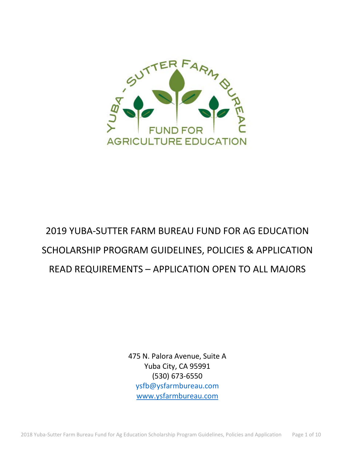

# 2019 YUBA-SUTTER FARM BUREAU FUND FOR AG EDUCATION SCHOLARSHIP PROGRAM GUIDELINES, POLICIES & APPLICATION READ REQUIREMENTS – APPLICATION OPEN TO ALL MAJORS

475 N. Palora Avenue, Suite A Yuba City, CA 95991 (530) 673-6550 [ysfb@ysfarmbureau.com](mailto:ysfb@ysfarmbureau.com) [www.ysfarmbureau.com](http://www.ysfarmbureau.com/)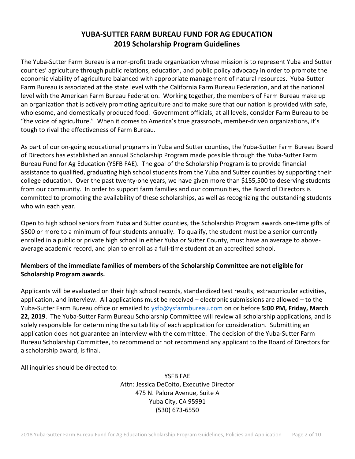# **YUBA-SUTTER FARM BUREAU FUND FOR AG EDUCATION 2019 Scholarship Program Guidelines**

The Yuba-Sutter Farm Bureau is a non-profit trade organization whose mission is to represent Yuba and Sutter counties' agriculture through public relations, education, and public policy advocacy in order to promote the economic viability of agriculture balanced with appropriate management of natural resources. Yuba-Sutter Farm Bureau is associated at the state level with the California Farm Bureau Federation, and at the national level with the American Farm Bureau Federation. Working together, the members of Farm Bureau make up an organization that is actively promoting agriculture and to make sure that our nation is provided with safe, wholesome, and domestically produced food. Government officials, at all levels, consider Farm Bureau to be "the voice of agriculture." When it comes to America's true grassroots, member-driven organizations, it's tough to rival the effectiveness of Farm Bureau.

As part of our on-going educational programs in Yuba and Sutter counties, the Yuba-Sutter Farm Bureau Board of Directors has established an annual Scholarship Program made possible through the Yuba-Sutter Farm Bureau Fund for Ag Education (YSFB FAE). The goal of the Scholarship Program is to provide financial assistance to qualified, graduating high school students from the Yuba and Sutter counties by supporting their college education. Over the past twenty-one years, we have given more than \$155,500 to deserving students from our community. In order to support farm families and our communities, the Board of Directors is committed to promoting the availability of these scholarships, as well as recognizing the outstanding students who win each year.

Open to high school seniors from Yuba and Sutter counties, the Scholarship Program awards one-time gifts of \$500 or more to a minimum of four students annually. To qualify, the student must be a senior currently enrolled in a public or private high school in either Yuba or Sutter County, must have an average to aboveaverage academic record, and plan to enroll as a full-time student at an accredited school.

# **Members of the immediate families of members of the Scholarship Committee are not eligible for Scholarship Program awards.**

Applicants will be evaluated on their high school records, standardized test results, extracurricular activities, application, and interview. All applications must be received – electronic submissions are allowed – to the Yuba-Sutter Farm Bureau office or emailed to [ysfb@ysfarmbureau.com](mailto:ysfb@ysfarmbureau.com) on or before **5:00 PM, Friday, March 22, 2019**. The Yuba-Sutter Farm Bureau Scholarship Committee will review all scholarship applications, and is solely responsible for determining the suitability of each application for consideration. Submitting an application does not guarantee an interview with the committee. The decision of the Yuba-Sutter Farm Bureau Scholarship Committee, to recommend or not recommend any applicant to the Board of Directors for a scholarship award, is final.

All inquiries should be directed to:

YSFB FAE Attn: Jessica DeCoito, Executive Director 475 N. Palora Avenue, Suite A Yuba City, CA 95991 (530) 673-6550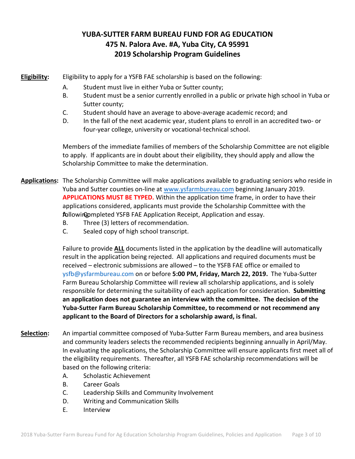# **YUBA-SUTTER FARM BUREAU FUND FOR AG EDUCATION 475 N. Palora Ave. #A, Yuba City, CA 95991 2019 Scholarship Program Guidelines**

**Eligibility:** Eligibility to apply for a YSFB FAE scholarship is based on the following:

- A. Student must live in either Yuba or Sutter county;
- B. Student must be a senior currently enrolled in a public or private high school in Yuba or Sutter county;
- C. Student should have an average to above-average academic record; and
- D. In the fall of the next academic year, student plans to enroll in an accredited two- or four-year college, university or vocational-technical school.

Members of the immediate families of members of the Scholarship Committee are not eligible to apply. If applicants are in doubt about their eligibility, they should apply and allow the Scholarship Committee to make the determination.

**Applications:** The Scholarship Committee will make applications available to graduating seniors who reside in Yuba and Sutter counties on-line at [www.ysfarmbureau.com](http://www.ysfarmbureau.com/) beginning January 2019. **APPLICATIONS MUST BE TYPED.** Within the application time frame, in order to have their applications considered, applicants must provide the Scholarship Committee with the following mpleted YSFB FAE Application Receipt, Application and essay.

- B. Three (3) letters of recommendation.
- C. Sealed copy of high school transcript.

Failure to provide **ALL** documents listed in the application by the deadline will automatically result in the application being rejected. All applications and required documents must be received – electronic submissions are allowed – to the YSFB FAE office or emailed to [ysfb@ysfarmbureau.com](mailto:ysfb@ysfarmbureau.com) on or before **5:00 PM, Friday, March 22, 2019.** The Yuba-Sutter Farm Bureau Scholarship Committee will review all scholarship applications, and is solely responsible for determining the suitability of each application for consideration. **Submitting an application does not guarantee an interview with the committee. The decision of the Yuba-Sutter Farm Bureau Scholarship Committee, to recommend or not recommend any applicant to the Board of Directors for a scholarship award, is final.** 

- **Selection:** An impartial committee composed of Yuba-Sutter Farm Bureau members, and area business and community leaders selects the recommended recipients beginning annually in April/May. In evaluating the applications, the Scholarship Committee will ensure applicants first meet all of the eligibility requirements. Thereafter, all YSFB FAE scholarship recommendations will be based on the following criteria:
	- A. Scholastic Achievement
	- B. Career Goals
	- C. Leadership Skills and Community Involvement
	- D. Writing and Communication Skills
	- E. Interview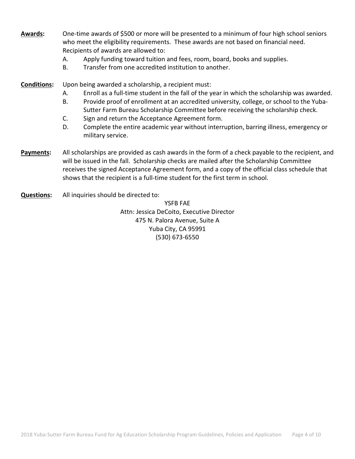- **Awards:** One-time awards of \$500 or more will be presented to a minimum of four high school seniors who meet the eligibility requirements. These awards are not based on financial need. Recipients of awards are allowed to:
	- A. Apply funding toward tuition and fees, room, board, books and supplies.
	- B. Transfer from one accredited institution to another.
- **Conditions:** Upon being awarded a scholarship, a recipient must:
	- A. Enroll as a full-time student in the fall of the year in which the scholarship was awarded.
	- B. Provide proof of enrollment at an accredited university, college, or school to the Yuba-Sutter Farm Bureau Scholarship Committee before receiving the scholarship check.
	- C. Sign and return the Acceptance Agreement form.
	- D. Complete the entire academic year without interruption, barring illness, emergency or military service.
- **Payments:** All scholarships are provided as cash awards in the form of a check payable to the recipient, and will be issued in the fall. Scholarship checks are mailed after the Scholarship Committee receives the signed Acceptance Agreement form, and a copy of the official class schedule that shows that the recipient is a full-time student for the first term in school.
- **Questions:** All inquiries should be directed to:

YSFB FAE Attn: Jessica DeCoito, Executive Director 475 N. Palora Avenue, Suite A Yuba City, CA 95991 (530) 673-6550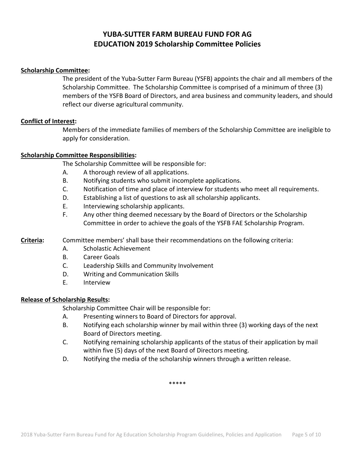# **YUBA-SUTTER FARM BUREAU FUND FOR AG EDUCATION 2019 Scholarship Committee Policies**

### **Scholarship Committee:**

The president of the Yuba-Sutter Farm Bureau (YSFB) appoints the chair and all members of the Scholarship Committee. The Scholarship Committee is comprised of a minimum of three (3) members of the YSFB Board of Directors, and area business and community leaders, and should reflect our diverse agricultural community.

### **Conflict of Interest:**

Members of the immediate families of members of the Scholarship Committee are ineligible to apply for consideration.

### **Scholarship Committee Responsibilities:**

The Scholarship Committee will be responsible for:

- A. A thorough review of all applications.
- B. Notifying students who submit incomplete applications.
- C. Notification of time and place of interview for students who meet all requirements.
- D. Establishing a list of questions to ask all scholarship applicants.
- E. Interviewing scholarship applicants.
- F. Any other thing deemed necessary by the Board of Directors or the Scholarship Committee in order to achieve the goals of the YSFB FAE Scholarship Program.

## **Criteria:** Committee members' shall base their recommendations on the following criteria:

- A. Scholastic Achievement
- B. Career Goals
- C. Leadership Skills and Community Involvement
- D. Writing and Communication Skills
- E. Interview

### **Release of Scholarship Results:**

Scholarship Committee Chair will be responsible for:

- A. Presenting winners to Board of Directors for approval.
- B. Notifying each scholarship winner by mail within three (3) working days of the next Board of Directors meeting.
- C. Notifying remaining scholarship applicants of the status of their application by mail within five (5) days of the next Board of Directors meeting.
- D. Notifying the media of the scholarship winners through a written release.

\*\*\*\*\*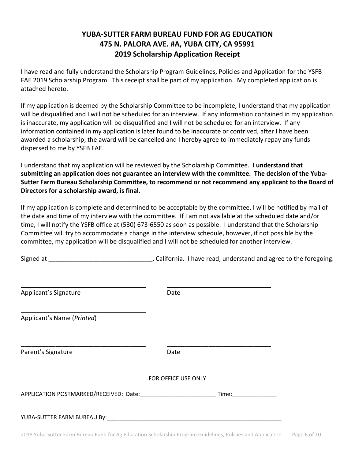# **YUBA-SUTTER FARM BUREAU FUND FOR AG EDUCATION 475 N. PALORA AVE. #A, YUBA CITY, CA 95991 2019 Scholarship Application Receipt**

I have read and fully understand the Scholarship Program Guidelines, Policies and Application for the YSFB FAE 2019 Scholarship Program. This receipt shall be part of my application. My completed application is attached hereto.

If my application is deemed by the Scholarship Committee to be incomplete, I understand that my application will be disqualified and I will not be scheduled for an interview. If any information contained in my application is inaccurate, my application will be disqualified and I will not be scheduled for an interview. If any information contained in my application is later found to be inaccurate or contrived, after I have been awarded a scholarship, the award will be cancelled and I hereby agree to immediately repay any funds dispersed to me by YSFB FAE.

I understand that my application will be reviewed by the Scholarship Committee. **I understand that submitting an application does not guarantee an interview with the committee. The decision of the Yuba-Sutter Farm Bureau Scholarship Committee, to recommend or not recommend any applicant to the Board of Directors for a scholarship award, is final.**

If my application is complete and determined to be acceptable by the committee, I will be notified by mail of the date and time of my interview with the committee. If I am not available at the scheduled date and/or time, I will notify the YSFB office at (530) 673-6550 as soon as possible. I understand that the Scholarship Committee will try to accommodate a change in the interview schedule, however, if not possible by the committee, my application will be disqualified and I will not be scheduled for another interview.

Signed at \_\_\_\_\_\_\_\_\_\_\_\_\_\_\_\_\_\_\_\_\_\_\_\_\_\_\_\_\_\_, California. I have read, understand and agree to the foregoing:

| Applicant's Signature                  | Date                                                                                                                                                                                                                           |  |
|----------------------------------------|--------------------------------------------------------------------------------------------------------------------------------------------------------------------------------------------------------------------------------|--|
| Applicant's Name (Printed)             |                                                                                                                                                                                                                                |  |
| Parent's Signature                     | Date                                                                                                                                                                                                                           |  |
|                                        | FOR OFFICE USE ONLY                                                                                                                                                                                                            |  |
| APPLICATION POSTMARKED/RECEIVED: Date: | Time: The contract of the contract of the contract of the contract of the contract of the contract of the contract of the contract of the contract of the contract of the contract of the contract of the contract of the cont |  |
| YUBA-SUTTER FARM BUREAU By:            |                                                                                                                                                                                                                                |  |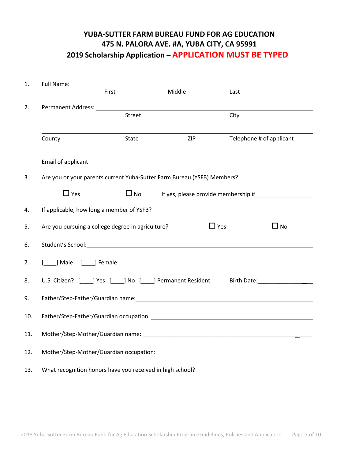# **YUBA-SUTTER FARM BUREAU FUND FOR AG EDUCATION 475 N. PALORA AVE. #A, YUBA CITY, CA 95991 2019 Scholarship Application – APPLICATION MUST BE TYPED**

| 1.  |                                                                                                                                                                                                                                |           |                                                                                                                                                                                                                                |      |                          |  |
|-----|--------------------------------------------------------------------------------------------------------------------------------------------------------------------------------------------------------------------------------|-----------|--------------------------------------------------------------------------------------------------------------------------------------------------------------------------------------------------------------------------------|------|--------------------------|--|
|     |                                                                                                                                                                                                                                | First     | Middle                                                                                                                                                                                                                         | Last |                          |  |
| 2.  |                                                                                                                                                                                                                                |           | Permanent Address: University of the Community of the Community of the Community of the Community of the Community of the Community of the Community of the Community of the Community of the Community of the Community of th |      |                          |  |
|     | Street                                                                                                                                                                                                                         |           | City                                                                                                                                                                                                                           |      |                          |  |
|     |                                                                                                                                                                                                                                |           |                                                                                                                                                                                                                                |      |                          |  |
|     | County                                                                                                                                                                                                                         | State     | <b>ZIP</b>                                                                                                                                                                                                                     |      | Telephone # of applicant |  |
|     |                                                                                                                                                                                                                                |           |                                                                                                                                                                                                                                |      |                          |  |
|     | Email of applicant                                                                                                                                                                                                             |           |                                                                                                                                                                                                                                |      |                          |  |
| 3.  | Are you or your parents current Yuba-Sutter Farm Bureau (YSFB) Members?                                                                                                                                                        |           |                                                                                                                                                                                                                                |      |                          |  |
|     | $\Box$ Yes                                                                                                                                                                                                                     | $\Box$ No | If yes, please provide membership #                                                                                                                                                                                            |      |                          |  |
| 4.  |                                                                                                                                                                                                                                |           |                                                                                                                                                                                                                                |      |                          |  |
| 5.  | $\Box$ Yes<br>$\square$ No<br>Are you pursuing a college degree in agriculture?                                                                                                                                                |           |                                                                                                                                                                                                                                |      |                          |  |
| 6.  |                                                                                                                                                                                                                                |           |                                                                                                                                                                                                                                |      |                          |  |
|     |                                                                                                                                                                                                                                |           |                                                                                                                                                                                                                                |      |                          |  |
| 7.  | [ ] Male [ ] Female                                                                                                                                                                                                            |           |                                                                                                                                                                                                                                |      |                          |  |
| 8.  | U.S. Citizen? [ ] Yes [ ] No [ ] Permanent Resident<br>Birth Date: <u>Alexander Alexander Alexander</u>                                                                                                                        |           |                                                                                                                                                                                                                                |      |                          |  |
| 9.  | Father/Step-Father/Guardian name: William School and Changes and Changes and Changes and Changes and Changes and Changes and Changes and Changes and Changes and Changes and Changes and Changes and Changes and Changes and C |           |                                                                                                                                                                                                                                |      |                          |  |
|     |                                                                                                                                                                                                                                |           |                                                                                                                                                                                                                                |      |                          |  |
| 10. |                                                                                                                                                                                                                                |           |                                                                                                                                                                                                                                |      |                          |  |
| 11. |                                                                                                                                                                                                                                |           |                                                                                                                                                                                                                                |      |                          |  |
| 12. | Mother/Step-Mother/Guardian occupation: What are also as a series of the material of the Mother of the Mother                                                                                                                  |           |                                                                                                                                                                                                                                |      |                          |  |
|     |                                                                                                                                                                                                                                |           |                                                                                                                                                                                                                                |      |                          |  |
| 13. | What recognition honors have you received in high school?                                                                                                                                                                      |           |                                                                                                                                                                                                                                |      |                          |  |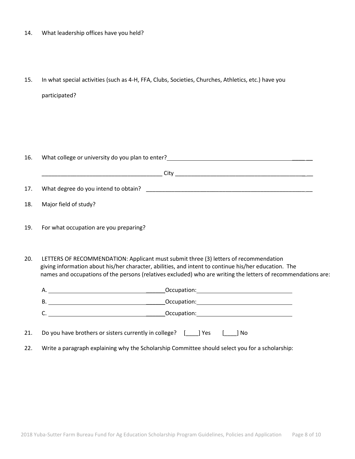- 14. What leadership offices have you held?
- 15. In what special activities (such as 4-H, FFA, Clubs, Societies, Churches, Athletics, etc.) have you participated?

| 16. | What college or university do you plan to enter?<br>What college or university do you plan to enter?                                                                                                                                                                                                          |  |  |  |
|-----|---------------------------------------------------------------------------------------------------------------------------------------------------------------------------------------------------------------------------------------------------------------------------------------------------------------|--|--|--|
|     |                                                                                                                                                                                                                                                                                                               |  |  |  |
| 17. |                                                                                                                                                                                                                                                                                                               |  |  |  |
| 18. | Major field of study?                                                                                                                                                                                                                                                                                         |  |  |  |
| 19. | For what occupation are you preparing?                                                                                                                                                                                                                                                                        |  |  |  |
| 20. | LETTERS OF RECOMMENDATION: Applicant must submit three (3) letters of recommendation<br>giving information about his/her character, abilities, and intent to continue his/her education. The<br>names and occupations of the persons (relatives excluded) who are writing the letters of recommendations are: |  |  |  |
|     |                                                                                                                                                                                                                                                                                                               |  |  |  |
|     |                                                                                                                                                                                                                                                                                                               |  |  |  |
|     |                                                                                                                                                                                                                                                                                                               |  |  |  |
| 21. | Do you have brothers or sisters currently in college? [189] Yes<br>No                                                                                                                                                                                                                                         |  |  |  |

22. Write a paragraph explaining why the Scholarship Committee should select you for a scholarship: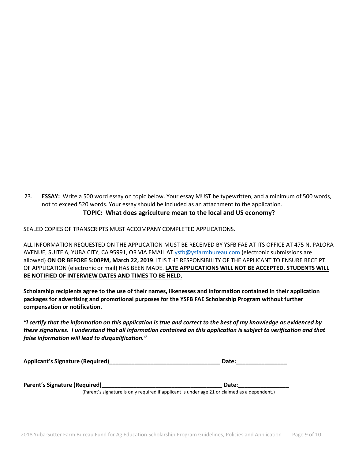23. **ESSAY:** Write a 500 word essay on topic below. Your essay MUST be typewritten, and a minimum of 500 words, not to exceed 520 words. Your essay should be included as an attachment to the application. **TOPIC: What does agriculture mean to the local and US economy?**

SEALED COPIES OF TRANSCRIPTS MUST ACCOMPANY COMPLETED APPLICATIONS.

ALL INFORMATION REQUESTED ON THE APPLICATION MUST BE RECEIVED BY YSFB FAE AT ITS OFFICE AT 475 N. PALORA AVENUE, SUITE A, YUBA CITY, CA 95991, OR VIA EMAIL AT [ysfb@ysfarmbureau.com](mailto:ysfb@ysfarmbureau.com) (electronic submissions are allowed) **ON OR BEFORE 5:00PM, March 22, 2019**. IT IS THE RESPONSIBILITY OF THE APPLICANT TO ENSURE RECEIPT OF APPLICATION (electronic or mail) HAS BEEN MADE. **LATE APPLICATIONS WILL NOT BE ACCEPTED. STUDENTS WILL BE NOTIFIED OF INTERVIEW DATES AND TIMES TO BE HELD.**

**Scholarship recipients agree to the use of their names, likenesses and information contained in their application packages for advertising and promotional purposes for the YSFB FAE Scholarship Program without further compensation or notification.**

*"I certify that the information on this application is true and correct to the best of my knowledge as evidenced by these signatures. I understand that all information contained on this application is subject to verification and that false information will lead to disqualification."*

| <b>Applicant's Signature (Required)</b> |  | Date: |
|-----------------------------------------|--|-------|
|-----------------------------------------|--|-------|

**Parent's Signature (Required)\_\_\_\_\_\_\_\_\_\_\_\_\_\_\_\_\_\_\_\_\_\_\_\_\_\_\_\_\_\_\_\_\_\_\_\_\_\_ Date:\_\_\_\_\_\_\_\_\_\_\_\_\_\_\_\_**

(Parent's signature is only required if applicant is under age 21 or claimed as a dependent.)